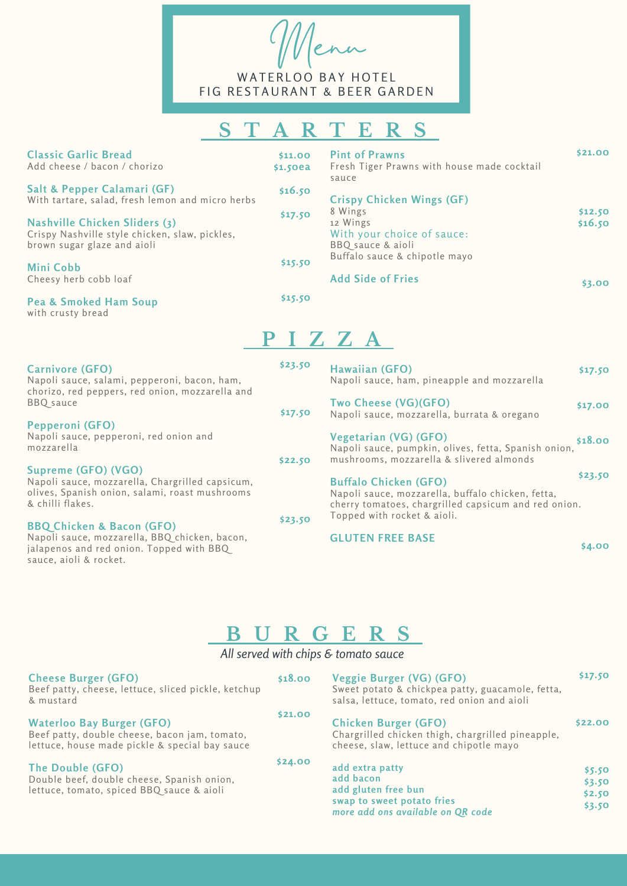Menu WATERLOO BAY HOTEL

FIG RESTAURANT & BEER GARDEN

## **S T A R T E R S**

| <b>Classic Garlic Bread</b><br>Add cheese / bacon / chorizo                                                                                                 | \$11.00<br>$$1.5$ oea | <b>Pint of Prawns</b><br>Fresh Tiger Prawns with house made cocktail<br>sauce                                                                                                         | \$21.00            |
|-------------------------------------------------------------------------------------------------------------------------------------------------------------|-----------------------|---------------------------------------------------------------------------------------------------------------------------------------------------------------------------------------|--------------------|
| Salt & Pepper Calamari (GF)<br>With tartare, salad, fresh lemon and micro herbs                                                                             | \$16.50               | <b>Crispy Chicken Wings (GF)</b>                                                                                                                                                      |                    |
| Nashville Chicken Sliders (3)<br>Crispy Nashville style chicken, slaw, pickles,<br>brown sugar glaze and aioli                                              | \$17.50               | 8 Wings<br>12 Wings<br>With your choice of sauce:<br>BBQ sauce & aioli                                                                                                                | \$12.50<br>\$16.50 |
| Mini Cobb<br>Cheesy herb cobb loaf                                                                                                                          | \$15.50               | Buffalo sauce & chipotle mayo<br><b>Add Side of Fries</b>                                                                                                                             | \$3.00             |
| Pea & Smoked Ham Soup<br>with crusty bread                                                                                                                  | \$15.50               |                                                                                                                                                                                       |                    |
|                                                                                                                                                             |                       | PIZZA                                                                                                                                                                                 |                    |
| Carnivore (GFO)<br>Napoli sauce, salami, pepperoni, bacon, ham,<br>chorizo, red peppers, red onion, mozzarella and                                          | \$23.50               | Hawaiian (GFO)<br>Napoli sauce, ham, pineapple and mozzarella                                                                                                                         | \$17.50            |
| <b>BBQ</b> sauce                                                                                                                                            | \$17.50               | Two Cheese (VG)(GFO)<br>Napoli sauce, mozzarella, burrata & oregano                                                                                                                   | \$17.00            |
| Pepperoni (GFO)<br>Napoli sauce, pepperoni, red onion and<br>mozzarella                                                                                     |                       | Vegetarian (VG) (GFO)<br>Napoli sauce, pumpkin, olives, fetta, Spanish onion,                                                                                                         | \$18.00            |
| Supreme (GFO) (VGO)<br>Napoli sauce, mozzarella, Chargrilled capsicum,<br>olives, Spanish onion, salami, roast mushrooms<br>& chilli flakes.                | \$22.50               | mushrooms, mozzarella & slivered almonds<br><b>Buffalo Chicken (GFO)</b><br>Napoli sauce, mozzarella, buffalo chicken, fetta,<br>cherry tomatoes, chargrilled capsicum and red onion. | \$23.50            |
| <b>BBQ Chicken &amp; Bacon (GFO)</b><br>Napoli sauce, mozzarella, BBQ chicken, bacon,<br>jalapenos and red onion. Topped with BBQ<br>sauce, aioli & rocket. | \$23.50               | Topped with rocket & aioli.<br><b>GLUTEN FREE BASE</b>                                                                                                                                | \$4.00             |

## **B U R G E R S**

*All served with chips & tomato sauce*

| <b>Cheese Burger (GFO)</b><br>Beef patty, cheese, lettuce, sliced pickle, ketchup<br>& mustard                                      | \$18.00 | Veggie Burger (VG) (GFO)<br>Sweet potato & chickpea patty, guacamole, fetta,<br>salsa, lettuce, tomato, red onion and aioli | \$17.50                              |
|-------------------------------------------------------------------------------------------------------------------------------------|---------|-----------------------------------------------------------------------------------------------------------------------------|--------------------------------------|
| <b>Waterloo Bay Burger (GFO)</b><br>Beef patty, double cheese, bacon jam, tomato,<br>lettuce, house made pickle & special bay sauce | \$21.00 | <b>Chicken Burger (GFO)</b><br>Chargrilled chicken thigh, chargrilled pineapple,<br>cheese, slaw, lettuce and chipotle mayo | \$22.00                              |
| The Double (GFO)<br>Double beef, double cheese, Spanish onion,<br>lettuce, tomato, spiced BBQ sauce & aioli                         | \$24.00 | add extra patty<br>add bacon<br>add gluten free bun<br>swap to sweet potato fries<br>more add ons available on QR code      | \$5.50<br>\$3.50<br>\$2.50<br>\$3.50 |